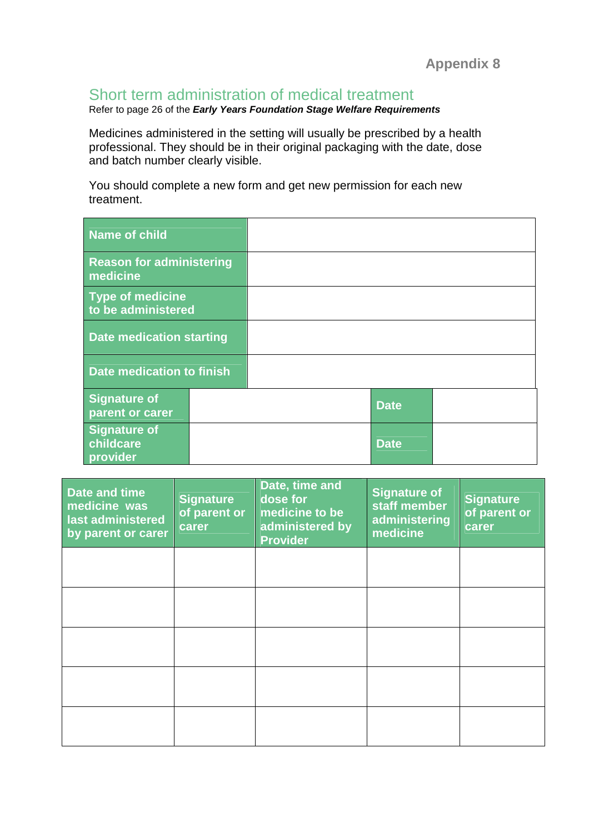## Short term administration of medical treatment

Refer to page 26 of the **Early Years Foundation Stage Welfare Requirements**

Medicines administered in the setting will usually be prescribed by a health professional. They should be in their original packaging with the date, dose and batch number clearly visible.

You should complete a new form and get new permission for each new treatment.

| <b>Name of child</b>                         |             |  |
|----------------------------------------------|-------------|--|
| <b>Reason for administering</b><br>medicine  |             |  |
| Type of medicine<br>to be administered       |             |  |
| <b>Date medication starting</b>              |             |  |
| Date medication to finish                    |             |  |
| <b>Signature of</b><br>parent or carer       | <b>Date</b> |  |
| <b>Signature of</b><br>childcare<br>provider | <b>Date</b> |  |

| Date and time<br>medicine was<br>last administered<br>by parent or carer | <b>Signature</b><br>of parent or<br>carer | Date, time and<br>dose for<br>medicine to be<br>administered by<br><b>Provider</b> | <b>Signature of</b><br>staff member<br>administering<br>medicine | <b>Signature</b><br>of parent or<br>carer |
|--------------------------------------------------------------------------|-------------------------------------------|------------------------------------------------------------------------------------|------------------------------------------------------------------|-------------------------------------------|
|                                                                          |                                           |                                                                                    |                                                                  |                                           |
|                                                                          |                                           |                                                                                    |                                                                  |                                           |
|                                                                          |                                           |                                                                                    |                                                                  |                                           |
|                                                                          |                                           |                                                                                    |                                                                  |                                           |
|                                                                          |                                           |                                                                                    |                                                                  |                                           |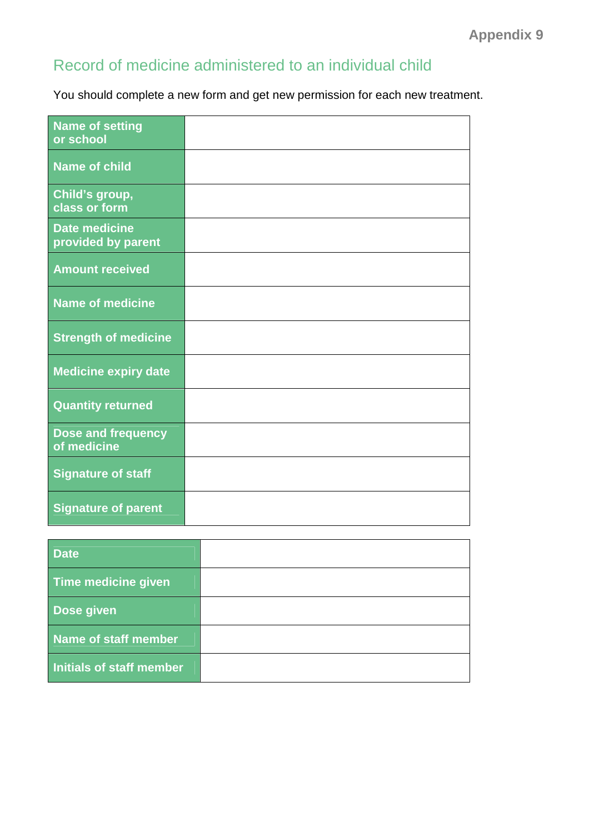## Record of medicine administered to an individual child

You should complete a new form and get new permission for each new treatment.

| <b>Name of setting</b><br>or school        |  |
|--------------------------------------------|--|
| <b>Name of child</b>                       |  |
| Child's group,<br>class or form            |  |
| <b>Date medicine</b><br>provided by parent |  |
| <b>Amount received</b>                     |  |
| <b>Name of medicine</b>                    |  |
| <b>Strength of medicine</b>                |  |
| <b>Medicine expiry date</b>                |  |
| <b>Quantity returned</b>                   |  |
| Dose and frequency<br>of medicine          |  |
| <b>Signature of staff</b>                  |  |
| <b>Signature of parent</b>                 |  |

| <b>Date</b>                 |  |
|-----------------------------|--|
| <b>Time medicine given</b>  |  |
| Dose given                  |  |
| <b>Name of staff member</b> |  |
| Initials of staff member    |  |